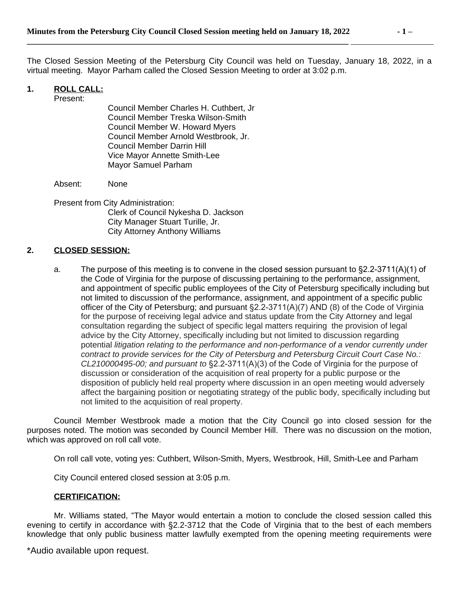The Closed Session Meeting of the Petersburg City Council was held on Tuesday, January 18, 2022, in a virtual meeting. Mayor Parham called the Closed Session Meeting to order at 3:02 p.m.

## **1. ROLL CALL:**

Present:

Council Member Charles H. Cuthbert, Jr Council Member Treska Wilson-Smith Council Member W. Howard Myers Council Member Arnold Westbrook, Jr. Council Member Darrin Hill Vice Mayor Annette Smith-Lee Mayor Samuel Parham

Absent: None

Present from City Administration: Clerk of Council Nykesha D. Jackson City Manager Stuart Turille, Jr. City Attorney Anthony Williams

## **2. CLOSED SESSION:**

a. The purpose of this meeting is to convene in the closed session pursuant to §2.2-3711(A)(1) of the Code of Virginia for the purpose of discussing pertaining to the performance, assignment, and appointment of specific public employees of the City of Petersburg specifically including but not limited to discussion of the performance, assignment, and appointment of a specific public officer of the City of Petersburg; and pursuant §2.2-3711(A)(7) AND (8) of the Code of Virginia for the purpose of receiving legal advice and status update from the City Attorney and legal consultation regarding the subject of specific legal matters requiring the provision of legal advice by the City Attorney, specifically including but not limited to discussion regarding potential *litigation relating to the performance and non-performance of a vendor currently under contract to provide services for the City of Petersburg and Petersburg Circuit Court Case No.: CL210000495-00; and pursuant to* §2.2-3711(A)(3) of the Code of Virginia for the purpose of discussion or consideration of the acquisition of real property for a public purpose or the disposition of publicly held real property where discussion in an open meeting would adversely affect the bargaining position or negotiating strategy of the public body, specifically including but not limited to the acquisition of real property.

Council Member Westbrook made a motion that the City Council go into closed session for the purposes noted. The motion was seconded by Council Member Hill. There was no discussion on the motion, which was approved on roll call vote.

On roll call vote, voting yes: Cuthbert, Wilson-Smith, Myers, Westbrook, Hill, Smith-Lee and Parham

City Council entered closed session at 3:05 p.m.

## **CERTIFICATION:**

Mr. Williams stated, "The Mayor would entertain a motion to conclude the closed session called this evening to certify in accordance with §2.2-3712 that the Code of Virginia that to the best of each members knowledge that only public business matter lawfully exempted from the opening meeting requirements were

\*Audio available upon request.